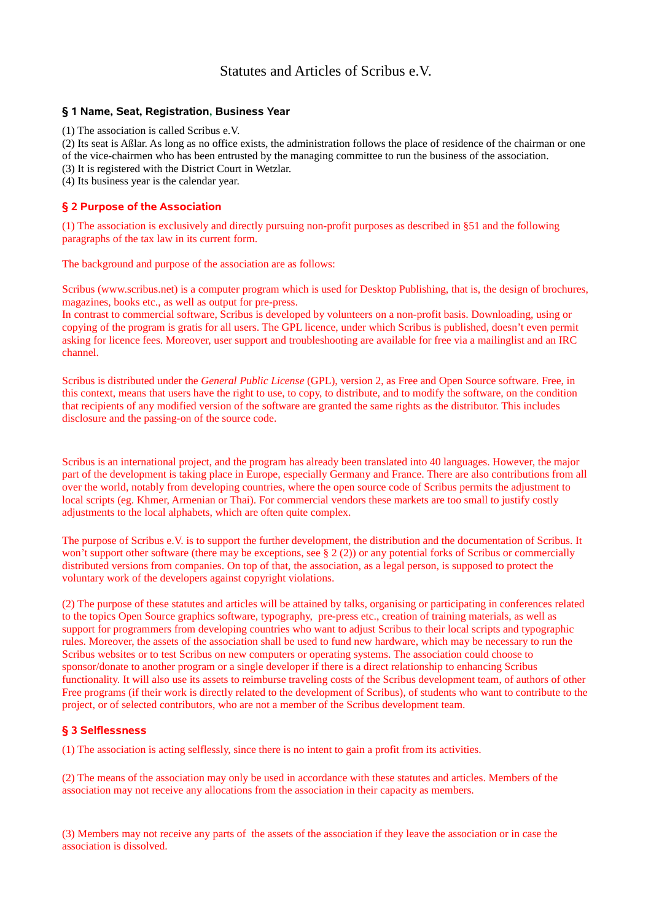# Statutes and Articles of Scribus e.V.

## **§ 1 Name, Seat, Registration, Business Year**

(1) The association is called Scribus e.V.

(2) Its seat is Aßlar. As long as no office exists, the administration follows the place of residence of the chairman or one of the vice-chairmen who has been entrusted by the managing committee to run the business of the association.

(3) It is registered with the District Court in Wetzlar.

(4) Its business year is the calendar year.

## **§ 2 Purpose of the Association**

(1) The association is exclusively and directly pursuing non-profit purposes as described in §51 and the following paragraphs of the tax law in its current form.

The background and purpose of the association are as follows:

Scribus (www.scribus.net) is a computer program which is used for Desktop Publishing, that is, the design of brochures, magazines, books etc., as well as output for pre-press.

In contrast to commercial software, Scribus is developed by volunteers on a non-profit basis. Downloading, using or copying of the program is gratis for all users. The GPL licence, under which Scribus is published, doesn't even permit asking for licence fees. Moreover, user support and troubleshooting are available for free via a mailinglist and an IRC channel.

Scribus is distributed under the *General Public License* (GPL), version 2, as Free and Open Source software. Free, in this context, means that users have the right to use, to copy, to distribute, and to modify the software, on the condition that recipients of any modified version of the software are granted the same rights as the distributor. This includes disclosure and the passing-on of the source code.

Scribus is an international project, and the program has already been translated into 40 languages. However, the major part of the development is taking place in Europe, especially Germany and France. There are also contributions from all over the world, notably from developing countries, where the open source code of Scribus permits the adjustment to local scripts (eg. Khmer, Armenian or Thai). For commercial vendors these markets are too small to justify costly adjustments to the local alphabets, which are often quite complex.

The purpose of Scribus e.V. is to support the further development, the distribution and the documentation of Scribus. It won't support other software (there may be exceptions, see  $\S 2(2)$ ) or any potential forks of Scribus or commercially distributed versions from companies. On top of that, the association, as a legal person, is supposed to protect the voluntary work of the developers against copyright violations.

(2) The purpose of these statutes and articles will be attained by talks, organising or participating in conferences related to the topics Open Source graphics software, typography, pre-press etc., creation of training materials, as well as support for programmers from developing countries who want to adjust Scribus to their local scripts and typographic rules. Moreover, the assets of the association shall be used to fund new hardware, which may be necessary to run the Scribus websites or to test Scribus on new computers or operating systems. The association could choose to sponsor/donate to another program or a single developer if there is a direct relationship to enhancing Scribus functionality. It will also use its assets to reimburse traveling costs of the Scribus development team, of authors of other Free programs (if their work is directly related to the development of Scribus), of students who want to contribute to the project, or of selected contributors, who are not a member of the Scribus development team.

## **§ 3 Selflessness**

(1) The association is acting selflessly, since there is no intent to gain a profit from its activities.

(2) The means of the association may only be used in accordance with these statutes and articles. Members of the association may not receive any allocations from the association in their capacity as members.

(3) Members may not receive any parts of the assets of the association if they leave the association or in case the association is dissolved.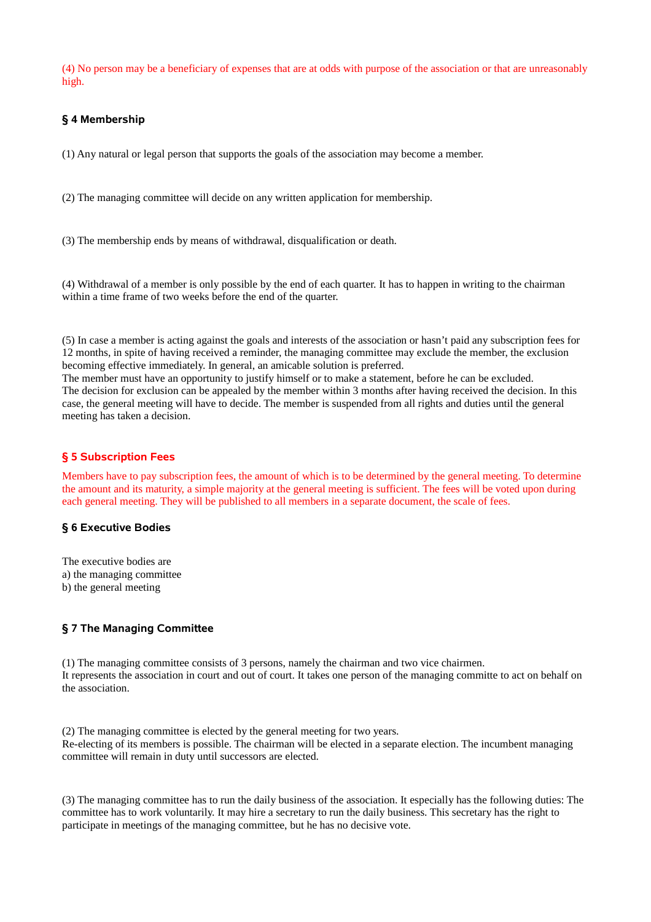(4) No person may be a beneficiary of expenses that are at odds with purpose of the association or that are unreasonably high.

## **§ 4 Membership**

(1) Any natural or legal person that supports the goals of the association may become a member.

(2) The managing committee will decide on any written application for membership.

(3) The membership ends by means of withdrawal, disqualification or death.

(4) Withdrawal of a member is only possible by the end of each quarter. It has to happen in writing to the chairman within a time frame of two weeks before the end of the quarter.

(5) In case a member is acting against the goals and interests of the association or hasn't paid any subscription fees for 12 months, in spite of having received a reminder, the managing committee may exclude the member, the exclusion becoming effective immediately. In general, an amicable solution is preferred.

The member must have an opportunity to justify himself or to make a statement, before he can be excluded. The decision for exclusion can be appealed by the member within 3 months after having received the decision. In this case, the general meeting will have to decide. The member is suspended from all rights and duties until the general meeting has taken a decision.

#### **§ 5 Subscription Fees**

Members have to pay subscription fees, the amount of which is to be determined by the general meeting. To determine the amount and its maturity, a simple majority at the general meeting is sufficient. The fees will be voted upon during each general meeting. They will be published to all members in a separate document, the scale of fees.

#### **§ 6 Executive Bodies**

The executive bodies are a) the managing committee b) the general meeting

#### **§ 7 The Managing Committee**

(1) The managing committee consists of 3 persons, namely the chairman and two vice chairmen. It represents the association in court and out of court. It takes one person of the managing committe to act on behalf on the association.

(2) The managing committee is elected by the general meeting for two years. Re-electing of its members is possible. The chairman will be elected in a separate election. The incumbent managing committee will remain in duty until successors are elected.

(3) The managing committee has to run the daily business of the association. It especially has the following duties: The committee has to work voluntarily. It may hire a secretary to run the daily business. This secretary has the right to participate in meetings of the managing committee, but he has no decisive vote.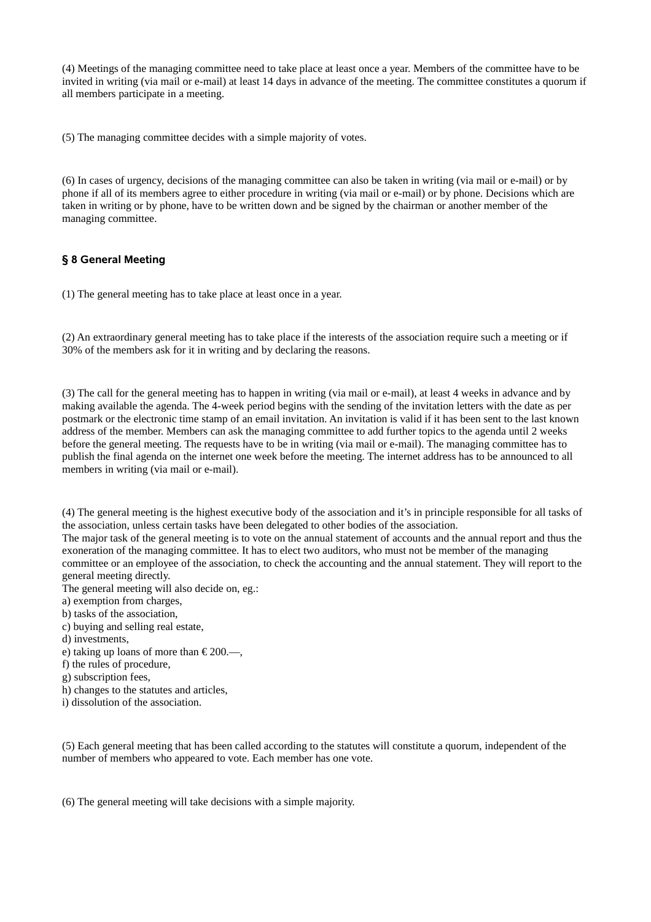(4) Meetings of the managing committee need to take place at least once a year. Members of the committee have to be invited in writing (via mail or e-mail) at least 14 days in advance of the meeting. The committee constitutes a quorum if all members participate in a meeting.

(5) The managing committee decides with a simple majority of votes.

(6) In cases of urgency, decisions of the managing committee can also be taken in writing (via mail or e-mail) or by phone if all of its members agree to either procedure in writing (via mail or e-mail) or by phone. Decisions which are taken in writing or by phone, have to be written down and be signed by the chairman or another member of the managing committee.

## **§ 8 General Meeting**

(1) The general meeting has to take place at least once in a year.

(2) An extraordinary general meeting has to take place if the interests of the association require such a meeting or if 30% of the members ask for it in writing and by declaring the reasons.

(3) The call for the general meeting has to happen in writing (via mail or e-mail), at least 4 weeks in advance and by making available the agenda. The 4-week period begins with the sending of the invitation letters with the date as per postmark or the electronic time stamp of an email invitation. An invitation is valid if it has been sent to the last known address of the member. Members can ask the managing committee to add further topics to the agenda until 2 weeks before the general meeting. The requests have to be in writing (via mail or e-mail). The managing committee has to publish the final agenda on the internet one week before the meeting. The internet address has to be announced to all members in writing (via mail or e-mail).

(4) The general meeting is the highest executive body of the association and it's in principle responsible for all tasks of the association, unless certain tasks have been delegated to other bodies of the association.

The major task of the general meeting is to vote on the annual statement of accounts and the annual report and thus the exoneration of the managing committee. It has to elect two auditors, who must not be member of the managing committee or an employee of the association, to check the accounting and the annual statement. They will report to the general meeting directly.

The general meeting will also decide on, eg.:

- a) exemption from charges,
- b) tasks of the association,
- c) buying and selling real estate,
- d) investments,
- e) taking up loans of more than € 200.—,
- f) the rules of procedure,
- g) subscription fees,
- h) changes to the statutes and articles,
- i) dissolution of the association.

(5) Each general meeting that has been called according to the statutes will constitute a quorum, independent of the number of members who appeared to vote. Each member has one vote.

(6) The general meeting will take decisions with a simple majority.